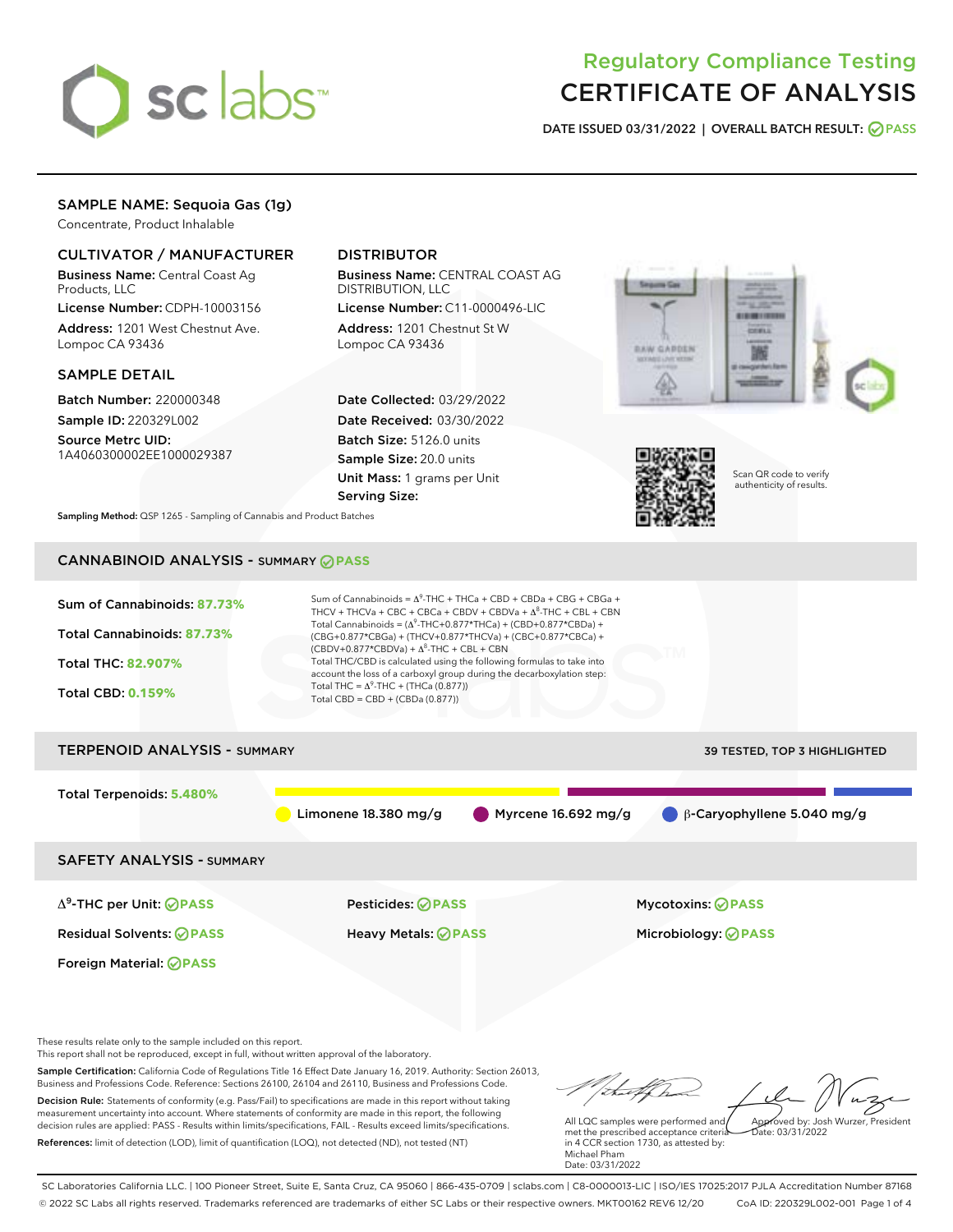

# Regulatory Compliance Testing CERTIFICATE OF ANALYSIS

DATE ISSUED 03/31/2022 | OVERALL BATCH RESULT: @ PASS

## SAMPLE NAME: Sequoia Gas (1g)

Concentrate, Product Inhalable

## CULTIVATOR / MANUFACTURER

Business Name: Central Coast Ag Products, LLC

License Number: CDPH-10003156 Address: 1201 West Chestnut Ave. Lompoc CA 93436

#### SAMPLE DETAIL

Batch Number: 220000348 Sample ID: 220329L002

Source Metrc UID: 1A4060300002EE1000029387

## DISTRIBUTOR

Business Name: CENTRAL COAST AG DISTRIBUTION, LLC

License Number: C11-0000496-LIC Address: 1201 Chestnut St W Lompoc CA 93436

Date Collected: 03/29/2022 Date Received: 03/30/2022 Batch Size: 5126.0 units Sample Size: 20.0 units Unit Mass: 1 grams per Unit Serving Size:





Scan QR code to verify authenticity of results.

Sampling Method: QSP 1265 - Sampling of Cannabis and Product Batches

## CANNABINOID ANALYSIS - SUMMARY **PASS**



Decision Rule: Statements of conformity (e.g. Pass/Fail) to specifications are made in this report without taking measurement uncertainty into account. Where statements of conformity are made in this report, the following decision rules are applied: PASS - Results within limits/specifications, FAIL - Results exceed limits/specifications. References: limit of detection (LOD), limit of quantification (LOQ), not detected (ND), not tested (NT)

All LQC samples were performed and met the prescribed acceptance criteria in 4 CCR section 1730, as attested by: Michael Pham Date: 03/31/2022 Approved by: Josh Wurzer, President  $\frac{1}{2}$ ate: 03/31/2022

SC Laboratories California LLC. | 100 Pioneer Street, Suite E, Santa Cruz, CA 95060 | 866-435-0709 | sclabs.com | C8-0000013-LIC | ISO/IES 17025:2017 PJLA Accreditation Number 87168 © 2022 SC Labs all rights reserved. Trademarks referenced are trademarks of either SC Labs or their respective owners. MKT00162 REV6 12/20 CoA ID: 220329L002-001 Page 1 of 4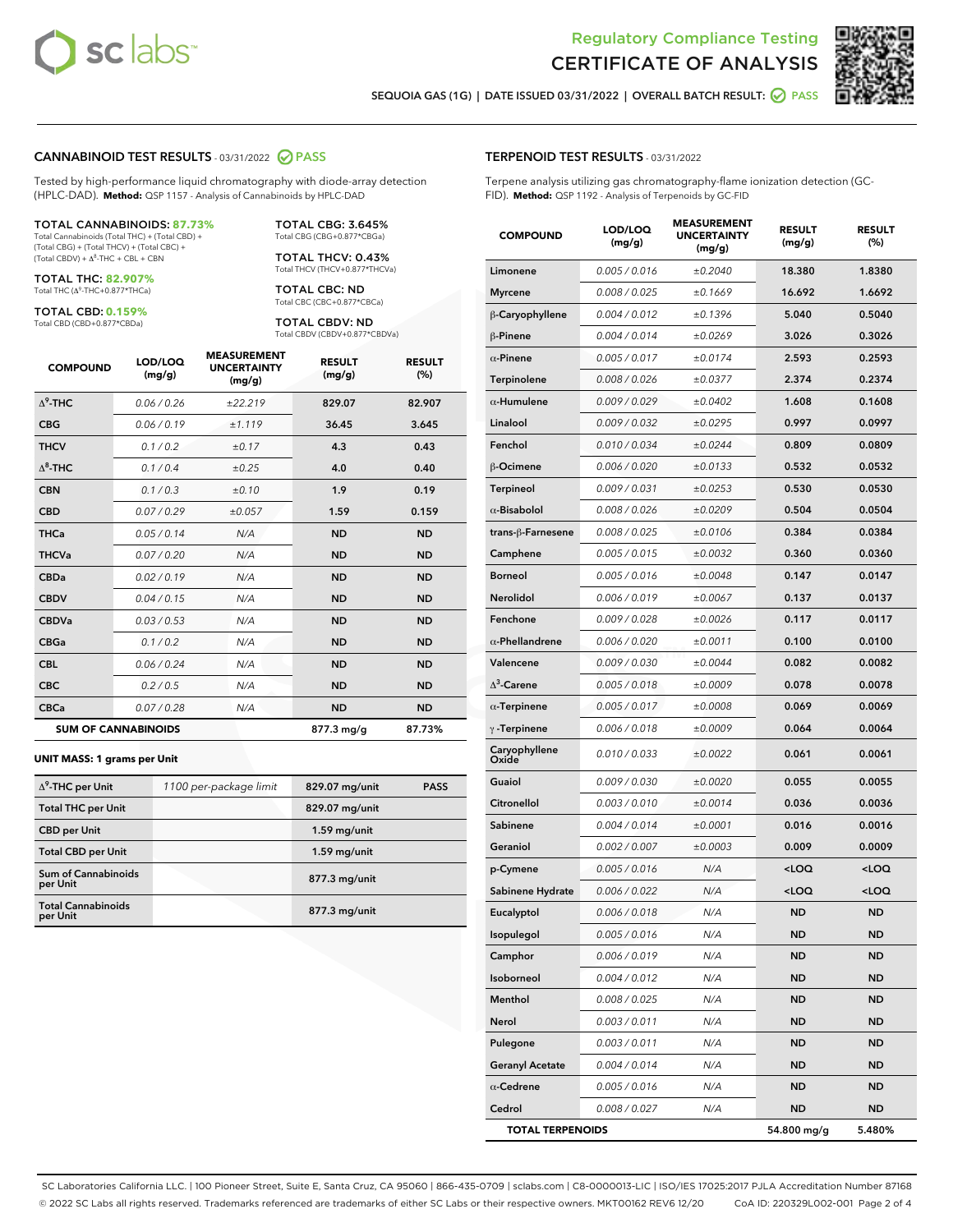



SEQUOIA GAS (1G) | DATE ISSUED 03/31/2022 | OVERALL BATCH RESULT: @ PASS

#### CANNABINOID TEST RESULTS - 03/31/2022 2 PASS

Tested by high-performance liquid chromatography with diode-array detection (HPLC-DAD). **Method:** QSP 1157 - Analysis of Cannabinoids by HPLC-DAD

#### TOTAL CANNABINOIDS: **87.73%**

Total Cannabinoids (Total THC) + (Total CBD) + (Total CBG) + (Total THCV) + (Total CBC) +  $(Total CBDV) +  $\Delta^8$ -THC + CBL + CBN$ 

TOTAL THC: **82.907%** Total THC (Δ<sup>9</sup> -THC+0.877\*THCa)

TOTAL CBD: **0.159%** Total CBD (CBD+0.877\*CBDa)

TOTAL CBG: 3.645% Total CBG (CBG+0.877\*CBGa)

TOTAL THCV: 0.43% Total THCV (THCV+0.877\*THCVa)

TOTAL CBC: ND Total CBC (CBC+0.877\*CBCa)

TOTAL CBDV: ND Total CBDV (CBDV+0.877\*CBDVa)

| <b>COMPOUND</b>  | LOD/LOQ<br>(mg/g)          | <b>MEASUREMENT</b><br><b>UNCERTAINTY</b><br>(mg/g) | <b>RESULT</b><br>(mg/g) | <b>RESULT</b><br>(%) |
|------------------|----------------------------|----------------------------------------------------|-------------------------|----------------------|
| $\Lambda^9$ -THC | 0.06/0.26                  | ±22.219                                            | 829.07                  | 82.907               |
| <b>CBG</b>       | 0.06/0.19                  | ±1.119                                             | 36.45                   | 3.645                |
| <b>THCV</b>      | 0.1/0.2                    | ±0.17                                              | 4.3                     | 0.43                 |
| $\Delta^8$ -THC  | 0.1/0.4                    | $\pm 0.25$                                         | 4.0                     | 0.40                 |
| <b>CBN</b>       | 0.1/0.3                    | $\pm 0.10$                                         | 1.9                     | 0.19                 |
| <b>CBD</b>       | 0.07/0.29                  | ±0.057                                             | 1.59                    | 0.159                |
| <b>THCa</b>      | 0.05/0.14                  | N/A                                                | <b>ND</b>               | <b>ND</b>            |
| <b>THCVa</b>     | 0.07 / 0.20                | N/A                                                | <b>ND</b>               | <b>ND</b>            |
| <b>CBDa</b>      | 0.02/0.19                  | N/A                                                | <b>ND</b>               | <b>ND</b>            |
| <b>CBDV</b>      | 0.04 / 0.15                | N/A                                                | <b>ND</b>               | <b>ND</b>            |
| <b>CBDVa</b>     | 0.03/0.53                  | N/A                                                | <b>ND</b>               | <b>ND</b>            |
| <b>CBGa</b>      | 0.1 / 0.2                  | N/A                                                | <b>ND</b>               | <b>ND</b>            |
| <b>CBL</b>       | 0.06 / 0.24                | N/A                                                | <b>ND</b>               | <b>ND</b>            |
| <b>CBC</b>       | 0.2 / 0.5                  | N/A                                                | <b>ND</b>               | <b>ND</b>            |
| <b>CBCa</b>      | 0.07/0.28                  | N/A                                                | <b>ND</b>               | <b>ND</b>            |
|                  | <b>SUM OF CANNABINOIDS</b> |                                                    | 877.3 mg/g              | 87.73%               |

#### **UNIT MASS: 1 grams per Unit**

| $\Delta^9$ -THC per Unit               | 1100 per-package limit | 829.07 mg/unit  | <b>PASS</b> |
|----------------------------------------|------------------------|-----------------|-------------|
| <b>Total THC per Unit</b>              |                        | 829.07 mg/unit  |             |
| <b>CBD per Unit</b>                    |                        | $1.59$ mg/unit  |             |
| <b>Total CBD per Unit</b>              |                        | $1.59$ mg/unit  |             |
| <b>Sum of Cannabinoids</b><br>per Unit |                        | 877.3 mg/unit   |             |
| <b>Total Cannabinoids</b><br>per Unit  |                        | $877.3$ mg/unit |             |

#### TERPENOID TEST RESULTS - 03/31/2022

Terpene analysis utilizing gas chromatography-flame ionization detection (GC-FID). **Method:** QSP 1192 - Analysis of Terpenoids by GC-FID

| <b>COMPOUND</b>         | LOD/LOQ<br>(mg/g) | <b>MEASUREMENT</b><br><b>UNCERTAINTY</b><br>(mg/g) | <b>RESULT</b><br>(mg/g)                         | <b>RESULT</b><br>(%) |
|-------------------------|-------------------|----------------------------------------------------|-------------------------------------------------|----------------------|
| Limonene                | 0.005 / 0.016     | ±0.2040                                            | 18.380                                          | 1.8380               |
| <b>Myrcene</b>          | 0.008 / 0.025     | ±0.1669                                            | 16.692                                          | 1.6692               |
| β-Caryophyllene         | 0.004 / 0.012     | ±0.1396                                            | 5.040                                           | 0.5040               |
| β-Pinene                | 0.004 / 0.014     | ±0.0269                                            | 3.026                                           | 0.3026               |
| $\alpha$ -Pinene        | 0.005 / 0.017     | ±0.0174                                            | 2.593                                           | 0.2593               |
| <b>Terpinolene</b>      | 0.008 / 0.026     | ±0.0377                                            | 2.374                                           | 0.2374               |
| $\alpha$ -Humulene      | 0.009 / 0.029     | ±0.0402                                            | 1.608                                           | 0.1608               |
| Linalool                | 0.009 / 0.032     | ±0.0295                                            | 0.997                                           | 0.0997               |
| Fenchol                 | 0.010 / 0.034     | ±0.0244                                            | 0.809                                           | 0.0809               |
| β-Ocimene               | 0.006 / 0.020     | ±0.0133                                            | 0.532                                           | 0.0532               |
| <b>Terpineol</b>        | 0.009 / 0.031     | ±0.0253                                            | 0.530                                           | 0.0530               |
| $\alpha$ -Bisabolol     | 0.008 / 0.026     | ±0.0209                                            | 0.504                                           | 0.0504               |
| trans-ß-Farnesene       | 0.008 / 0.025     | ±0.0106                                            | 0.384                                           | 0.0384               |
| Camphene                | 0.005 / 0.015     | ±0.0032                                            | 0.360                                           | 0.0360               |
| <b>Borneol</b>          | 0.005 / 0.016     | ±0.0048                                            | 0.147                                           | 0.0147               |
| Nerolidol               | 0.006 / 0.019     | ±0.0067                                            | 0.137                                           | 0.0137               |
| Fenchone                | 0.009 / 0.028     | ±0.0026                                            | 0.117                                           | 0.0117               |
| $\alpha$ -Phellandrene  | 0.006 / 0.020     | ±0.0011                                            | 0.100                                           | 0.0100               |
| Valencene               | 0.009 / 0.030     | ±0.0044                                            | 0.082                                           | 0.0082               |
| $\Delta^3$ -Carene      | 0.005 / 0.018     | ±0.0009                                            | 0.078                                           | 0.0078               |
| $\alpha$ -Terpinene     | 0.005 / 0.017     | ±0.0008                                            | 0.069                                           | 0.0069               |
| $\gamma$ -Terpinene     | 0.006 / 0.018     | ±0.0009                                            | 0.064                                           | 0.0064               |
| Caryophyllene<br>Oxide  | 0.010 / 0.033     | ±0.0022                                            | 0.061                                           | 0.0061               |
| Guaiol                  | 0.009 / 0.030     | ±0.0020                                            | 0.055                                           | 0.0055               |
| Citronellol             | 0.003 / 0.010     | ±0.0014                                            | 0.036                                           | 0.0036               |
| Sabinene                | 0.004 / 0.014     | ±0.0001                                            | 0.016                                           | 0.0016               |
| Geraniol                | 0.002 / 0.007     | ±0.0003                                            | 0.009                                           | 0.0009               |
| p-Cymene                | 0.005 / 0.016     | N/A                                                | <loq< th=""><th><loq< th=""></loq<></th></loq<> | <loq< th=""></loq<>  |
| Sabinene Hydrate        | 0.006 / 0.022     | N/A                                                | <loq< th=""><th><loq< th=""></loq<></th></loq<> | <loq< th=""></loq<>  |
| Eucalyptol              | 0.006 / 0.018     | N/A                                                | <b>ND</b>                                       | <b>ND</b>            |
| Isopulegol              | 0.005 / 0.016     | N/A                                                | ND                                              | ND                   |
| Camphor                 | 0.006 / 0.019     | N/A                                                | <b>ND</b>                                       | <b>ND</b>            |
| Isoborneol              | 0.004 / 0.012     | N/A                                                | <b>ND</b>                                       | <b>ND</b>            |
| Menthol                 | 0.008 / 0.025     | N/A                                                | ND                                              | ND                   |
| Nerol                   | 0.003 / 0.011     | N/A                                                | ND                                              | ND                   |
| Pulegone                | 0.003 / 0.011     | N/A                                                | <b>ND</b>                                       | <b>ND</b>            |
| <b>Geranyl Acetate</b>  | 0.004 / 0.014     | N/A                                                | ND                                              | <b>ND</b>            |
| $\alpha$ -Cedrene       | 0.005 / 0.016     | N/A                                                | <b>ND</b>                                       | ND                   |
| Cedrol                  | 0.008 / 0.027     | N/A                                                | <b>ND</b>                                       | ND                   |
| <b>TOTAL TERPENOIDS</b> |                   |                                                    | 54.800 mg/g                                     | 5.480%               |

SC Laboratories California LLC. | 100 Pioneer Street, Suite E, Santa Cruz, CA 95060 | 866-435-0709 | sclabs.com | C8-0000013-LIC | ISO/IES 17025:2017 PJLA Accreditation Number 87168 © 2022 SC Labs all rights reserved. Trademarks referenced are trademarks of either SC Labs or their respective owners. MKT00162 REV6 12/20 CoA ID: 220329L002-001 Page 2 of 4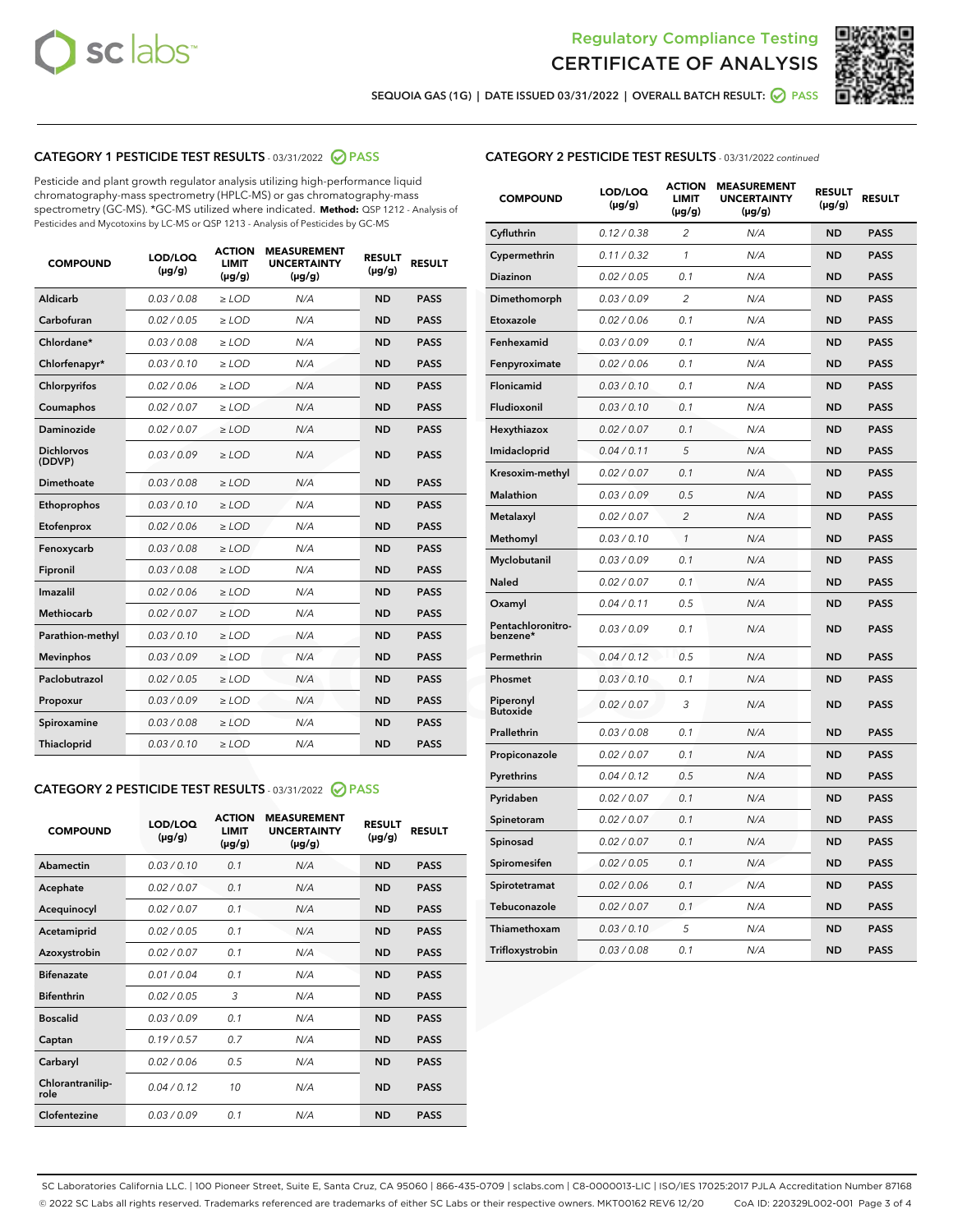



SEQUOIA GAS (1G) | DATE ISSUED 03/31/2022 | OVERALL BATCH RESULT: 2 PASS

## CATEGORY 1 PESTICIDE TEST RESULTS - 03/31/2022 2 PASS

Pesticide and plant growth regulator analysis utilizing high-performance liquid chromatography-mass spectrometry (HPLC-MS) or gas chromatography-mass spectrometry (GC-MS). \*GC-MS utilized where indicated. **Method:** QSP 1212 - Analysis of Pesticides and Mycotoxins by LC-MS or QSP 1213 - Analysis of Pesticides by GC-MS

| <b>COMPOUND</b>             | LOD/LOQ<br>$(\mu g/g)$ | <b>ACTION</b><br>LIMIT<br>$(\mu g/g)$ | <b>MEASUREMENT</b><br><b>UNCERTAINTY</b><br>$(\mu g/g)$ | <b>RESULT</b><br>$(\mu g/g)$ | <b>RESULT</b> |
|-----------------------------|------------------------|---------------------------------------|---------------------------------------------------------|------------------------------|---------------|
| Aldicarb                    | 0.03 / 0.08            | $\ge$ LOD                             | N/A                                                     | <b>ND</b>                    | <b>PASS</b>   |
| Carbofuran                  | 0.02 / 0.05            | $>$ LOD                               | N/A                                                     | <b>ND</b>                    | <b>PASS</b>   |
| Chlordane*                  | 0.03/0.08              | $>$ LOD                               | N/A                                                     | <b>ND</b>                    | <b>PASS</b>   |
| Chlorfenapyr*               | 0.03/0.10              | $>$ LOD                               | N/A                                                     | <b>ND</b>                    | <b>PASS</b>   |
| Chlorpyrifos                | 0.02 / 0.06            | $>$ LOD                               | N/A                                                     | <b>ND</b>                    | <b>PASS</b>   |
| Coumaphos                   | 0.02 / 0.07            | $\ge$ LOD                             | N/A                                                     | <b>ND</b>                    | <b>PASS</b>   |
| Daminozide                  | 0.02 / 0.07            | $>$ LOD                               | N/A                                                     | <b>ND</b>                    | <b>PASS</b>   |
| <b>Dichlorvos</b><br>(DDVP) | 0.03 / 0.09            | $>$ LOD                               | N/A                                                     | <b>ND</b>                    | <b>PASS</b>   |
| Dimethoate                  | 0.03 / 0.08            | $\ge$ LOD                             | N/A                                                     | <b>ND</b>                    | <b>PASS</b>   |
| Ethoprophos                 | 0.03/0.10              | $\ge$ LOD                             | N/A                                                     | <b>ND</b>                    | <b>PASS</b>   |
| Etofenprox                  | 0.02 / 0.06            | $\ge$ LOD                             | N/A                                                     | <b>ND</b>                    | <b>PASS</b>   |
| Fenoxycarb                  | 0.03 / 0.08            | $\ge$ LOD                             | N/A                                                     | <b>ND</b>                    | <b>PASS</b>   |
| Fipronil                    | 0.03 / 0.08            | $\ge$ LOD                             | N/A                                                     | <b>ND</b>                    | <b>PASS</b>   |
| Imazalil                    | 0.02/0.06              | $>$ LOD                               | N/A                                                     | <b>ND</b>                    | <b>PASS</b>   |
| <b>Methiocarb</b>           | 0.02 / 0.07            | $\ge$ LOD                             | N/A                                                     | <b>ND</b>                    | <b>PASS</b>   |
| Parathion-methyl            | 0.03/0.10              | $\ge$ LOD                             | N/A                                                     | <b>ND</b>                    | <b>PASS</b>   |
| <b>Mevinphos</b>            | 0.03/0.09              | $>$ LOD                               | N/A                                                     | <b>ND</b>                    | <b>PASS</b>   |
| Paclobutrazol               | 0.02 / 0.05            | $>$ LOD                               | N/A                                                     | <b>ND</b>                    | <b>PASS</b>   |
| Propoxur                    | 0.03/0.09              | $\ge$ LOD                             | N/A                                                     | <b>ND</b>                    | <b>PASS</b>   |
| Spiroxamine                 | 0.03 / 0.08            | $\ge$ LOD                             | N/A                                                     | <b>ND</b>                    | <b>PASS</b>   |
| Thiacloprid                 | 0.03/0.10              | $>$ LOD                               | N/A                                                     | <b>ND</b>                    | <b>PASS</b>   |
|                             |                        |                                       |                                                         |                              |               |

### CATEGORY 2 PESTICIDE TEST RESULTS - 03/31/2022 @ PASS

| <b>COMPOUND</b>          | LOD/LOQ<br>$(\mu g/g)$ | <b>ACTION</b><br><b>LIMIT</b><br>$(\mu g/g)$ | <b>MEASUREMENT</b><br><b>UNCERTAINTY</b><br>$(\mu g/g)$ | <b>RESULT</b><br>$(\mu g/g)$ | <b>RESULT</b> |
|--------------------------|------------------------|----------------------------------------------|---------------------------------------------------------|------------------------------|---------------|
| Abamectin                | 0.03/0.10              | 0.1                                          | N/A                                                     | <b>ND</b>                    | <b>PASS</b>   |
| Acephate                 | 0.02/0.07              | 0.1                                          | N/A                                                     | <b>ND</b>                    | <b>PASS</b>   |
| Acequinocyl              | 0.02/0.07              | 0.1                                          | N/A                                                     | <b>ND</b>                    | <b>PASS</b>   |
| Acetamiprid              | 0.02/0.05              | 0.1                                          | N/A                                                     | <b>ND</b>                    | <b>PASS</b>   |
| Azoxystrobin             | 0.02 / 0.07            | 0.1                                          | N/A                                                     | <b>ND</b>                    | <b>PASS</b>   |
| <b>Bifenazate</b>        | 0.01/0.04              | 0.1                                          | N/A                                                     | <b>ND</b>                    | <b>PASS</b>   |
| <b>Bifenthrin</b>        | 0.02 / 0.05            | 3                                            | N/A                                                     | <b>ND</b>                    | <b>PASS</b>   |
| <b>Boscalid</b>          | 0.03/0.09              | 0.1                                          | N/A                                                     | <b>ND</b>                    | <b>PASS</b>   |
| Captan                   | 0.19/0.57              | 0.7                                          | N/A                                                     | <b>ND</b>                    | <b>PASS</b>   |
| Carbaryl                 | 0.02/0.06              | 0.5                                          | N/A                                                     | <b>ND</b>                    | <b>PASS</b>   |
| Chlorantranilip-<br>role | 0.04/0.12              | 10                                           | N/A                                                     | <b>ND</b>                    | <b>PASS</b>   |
| Clofentezine             | 0.03/0.09              | 0.1                                          | N/A                                                     | <b>ND</b>                    | <b>PASS</b>   |

#### CATEGORY 2 PESTICIDE TEST RESULTS - 03/31/2022 continued

| <b>COMPOUND</b>               | LOD/LOQ<br>(µg/g) | <b>ACTION</b><br><b>LIMIT</b><br>$(\mu g/g)$ | <b>MEASUREMENT</b><br><b>UNCERTAINTY</b><br>$(\mu g/g)$ | <b>RESULT</b><br>(µg/g) | <b>RESULT</b> |
|-------------------------------|-------------------|----------------------------------------------|---------------------------------------------------------|-------------------------|---------------|
| Cyfluthrin                    | 0.12 / 0.38       | $\overline{c}$                               | N/A                                                     | <b>ND</b>               | <b>PASS</b>   |
| Cypermethrin                  | 0.11 / 0.32       | 1                                            | N/A                                                     | <b>ND</b>               | <b>PASS</b>   |
| <b>Diazinon</b>               | 0.02 / 0.05       | 0.1                                          | N/A                                                     | <b>ND</b>               | <b>PASS</b>   |
| Dimethomorph                  | 0.03 / 0.09       | 2                                            | N/A                                                     | <b>ND</b>               | <b>PASS</b>   |
| Etoxazole                     | 0.02 / 0.06       | 0.1                                          | N/A                                                     | <b>ND</b>               | <b>PASS</b>   |
| Fenhexamid                    | 0.03 / 0.09       | 0.1                                          | N/A                                                     | <b>ND</b>               | <b>PASS</b>   |
| Fenpyroximate                 | 0.02 / 0.06       | 0.1                                          | N/A                                                     | <b>ND</b>               | <b>PASS</b>   |
| Flonicamid                    | 0.03 / 0.10       | 0.1                                          | N/A                                                     | <b>ND</b>               | <b>PASS</b>   |
| Fludioxonil                   | 0.03 / 0.10       | 0.1                                          | N/A                                                     | <b>ND</b>               | <b>PASS</b>   |
| Hexythiazox                   | 0.02 / 0.07       | 0.1                                          | N/A                                                     | <b>ND</b>               | <b>PASS</b>   |
| Imidacloprid                  | 0.04 / 0.11       | 5                                            | N/A                                                     | <b>ND</b>               | <b>PASS</b>   |
| Kresoxim-methyl               | 0.02 / 0.07       | 0.1                                          | N/A                                                     | <b>ND</b>               | <b>PASS</b>   |
| Malathion                     | 0.03 / 0.09       | 0.5                                          | N/A                                                     | <b>ND</b>               | <b>PASS</b>   |
| Metalaxyl                     | 0.02 / 0.07       | $\overline{c}$                               | N/A                                                     | <b>ND</b>               | <b>PASS</b>   |
| Methomyl                      | 0.03 / 0.10       | 1                                            | N/A                                                     | <b>ND</b>               | <b>PASS</b>   |
| Myclobutanil                  | 0.03 / 0.09       | 0.1                                          | N/A                                                     | <b>ND</b>               | <b>PASS</b>   |
| Naled                         | 0.02 / 0.07       | 0.1                                          | N/A                                                     | <b>ND</b>               | <b>PASS</b>   |
| Oxamyl                        | 0.04 / 0.11       | 0.5                                          | N/A                                                     | <b>ND</b>               | <b>PASS</b>   |
| Pentachloronitro-<br>benzene* | 0.03 / 0.09       | 0.1                                          | N/A                                                     | <b>ND</b>               | <b>PASS</b>   |
| Permethrin                    | 0.04 / 0.12       | 0.5                                          | N/A                                                     | <b>ND</b>               | <b>PASS</b>   |
| Phosmet                       | 0.03 / 0.10       | 0.1                                          | N/A                                                     | <b>ND</b>               | <b>PASS</b>   |
| Piperonyl<br><b>Butoxide</b>  | 0.02 / 0.07       | 3                                            | N/A                                                     | <b>ND</b>               | <b>PASS</b>   |
| Prallethrin                   | 0.03 / 0.08       | 0.1                                          | N/A                                                     | <b>ND</b>               | <b>PASS</b>   |
| Propiconazole                 | 0.02 / 0.07       | 0.1                                          | N/A                                                     | <b>ND</b>               | <b>PASS</b>   |
| Pyrethrins                    | 0.04 / 0.12       | 0.5                                          | N/A                                                     | <b>ND</b>               | <b>PASS</b>   |
| Pyridaben                     | 0.02 / 0.07       | 0.1                                          | N/A                                                     | <b>ND</b>               | <b>PASS</b>   |
| Spinetoram                    | 0.02 / 0.07       | 0.1                                          | N/A                                                     | <b>ND</b>               | <b>PASS</b>   |
| Spinosad                      | 0.02 / 0.07       | 0.1                                          | N/A                                                     | <b>ND</b>               | <b>PASS</b>   |
| Spiromesifen                  | 0.02 / 0.05       | 0.1                                          | N/A                                                     | <b>ND</b>               | <b>PASS</b>   |
| Spirotetramat                 | 0.02 / 0.06       | 0.1                                          | N/A                                                     | <b>ND</b>               | <b>PASS</b>   |
| Tebuconazole                  | 0.02 / 0.07       | 0.1                                          | N/A                                                     | <b>ND</b>               | <b>PASS</b>   |
| Thiamethoxam                  | 0.03 / 0.10       | 5                                            | N/A                                                     | <b>ND</b>               | <b>PASS</b>   |
| Trifloxystrobin               | 0.03 / 0.08       | 0.1                                          | N/A                                                     | <b>ND</b>               | <b>PASS</b>   |

SC Laboratories California LLC. | 100 Pioneer Street, Suite E, Santa Cruz, CA 95060 | 866-435-0709 | sclabs.com | C8-0000013-LIC | ISO/IES 17025:2017 PJLA Accreditation Number 87168 © 2022 SC Labs all rights reserved. Trademarks referenced are trademarks of either SC Labs or their respective owners. MKT00162 REV6 12/20 CoA ID: 220329L002-001 Page 3 of 4